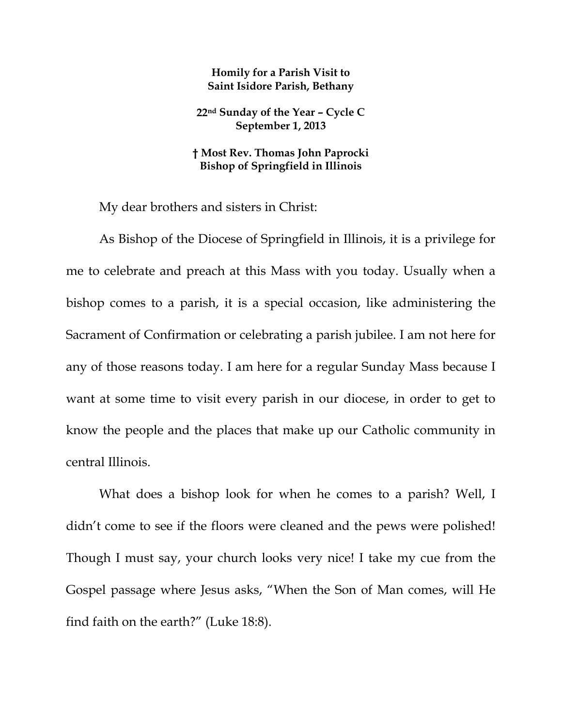## **Homily for a Parish Visit to Saint Isidore Parish, Bethany**

**22nd Sunday of the Year – Cycle C September 1, 2013** 

## **† Most Rev. Thomas John Paprocki Bishop of Springfield in Illinois**

My dear brothers and sisters in Christ:

As Bishop of the Diocese of Springfield in Illinois, it is a privilege for me to celebrate and preach at this Mass with you today. Usually when a bishop comes to a parish, it is a special occasion, like administering the Sacrament of Confirmation or celebrating a parish jubilee. I am not here for any of those reasons today. I am here for a regular Sunday Mass because I want at some time to visit every parish in our diocese, in order to get to know the people and the places that make up our Catholic community in central Illinois.

What does a bishop look for when he comes to a parish? Well, I didn't come to see if the floors were cleaned and the pews were polished! Though I must say, your church looks very nice! I take my cue from the Gospel passage where Jesus asks, "When the Son of Man comes, will He find faith on the earth?" (Luke 18:8).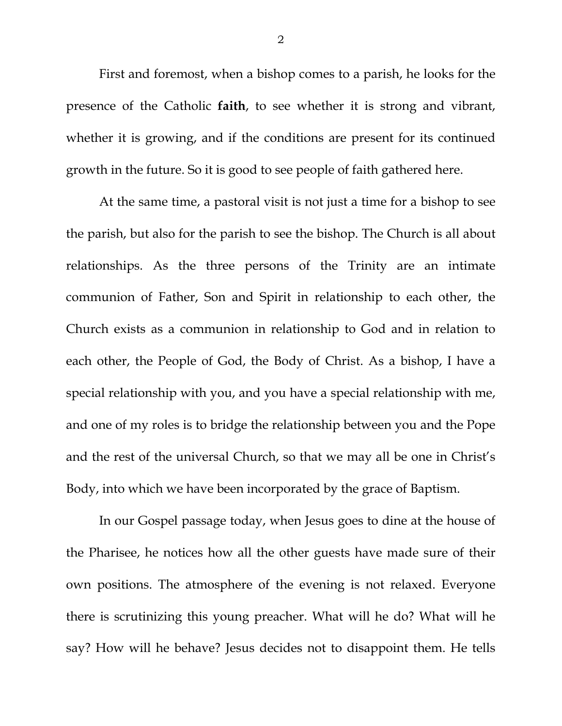First and foremost, when a bishop comes to a parish, he looks for the presence of the Catholic **faith**, to see whether it is strong and vibrant, whether it is growing, and if the conditions are present for its continued growth in the future. So it is good to see people of faith gathered here.

At the same time, a pastoral visit is not just a time for a bishop to see the parish, but also for the parish to see the bishop. The Church is all about relationships. As the three persons of the Trinity are an intimate communion of Father, Son and Spirit in relationship to each other, the Church exists as a communion in relationship to God and in relation to each other, the People of God, the Body of Christ. As a bishop, I have a special relationship with you, and you have a special relationship with me, and one of my roles is to bridge the relationship between you and the Pope and the rest of the universal Church, so that we may all be one in Christ's Body, into which we have been incorporated by the grace of Baptism.

In our Gospel passage today, when Jesus goes to dine at the house of the Pharisee, he notices how all the other guests have made sure of their own positions. The atmosphere of the evening is not relaxed. Everyone there is scrutinizing this young preacher. What will he do? What will he say? How will he behave? Jesus decides not to disappoint them. He tells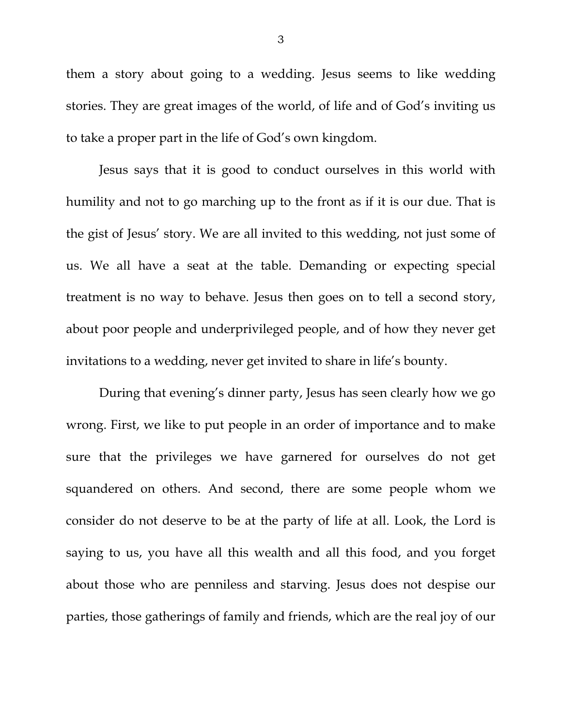them a story about going to a wedding. Jesus seems to like wedding stories. They are great images of the world, of life and of God's inviting us to take a proper part in the life of God's own kingdom.

Jesus says that it is good to conduct ourselves in this world with humility and not to go marching up to the front as if it is our due. That is the gist of Jesus' story. We are all invited to this wedding, not just some of us. We all have a seat at the table. Demanding or expecting special treatment is no way to behave. Jesus then goes on to tell a second story, about poor people and underprivileged people, and of how they never get invitations to a wedding, never get invited to share in life's bounty.

During that evening's dinner party, Jesus has seen clearly how we go wrong. First, we like to put people in an order of importance and to make sure that the privileges we have garnered for ourselves do not get squandered on others. And second, there are some people whom we consider do not deserve to be at the party of life at all. Look, the Lord is saying to us, you have all this wealth and all this food, and you forget about those who are penniless and starving. Jesus does not despise our parties, those gatherings of family and friends, which are the real joy of our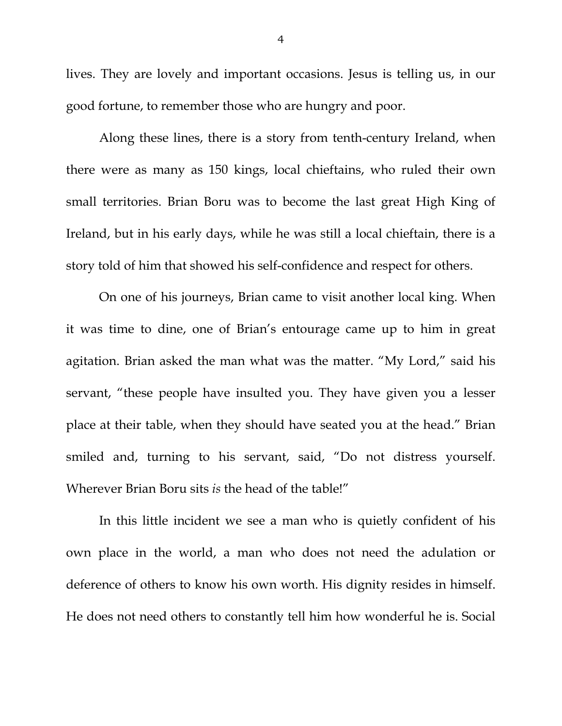lives. They are lovely and important occasions. Jesus is telling us, in our good fortune, to remember those who are hungry and poor.

Along these lines, there is a story from tenth-century Ireland, when there were as many as 150 kings, local chieftains, who ruled their own small territories. Brian Boru was to become the last great High King of Ireland, but in his early days, while he was still a local chieftain, there is a story told of him that showed his self-confidence and respect for others.

On one of his journeys, Brian came to visit another local king. When it was time to dine, one of Brian's entourage came up to him in great agitation. Brian asked the man what was the matter. "My Lord," said his servant, "these people have insulted you. They have given you a lesser place at their table, when they should have seated you at the head." Brian smiled and, turning to his servant, said, "Do not distress yourself. Wherever Brian Boru sits *is* the head of the table!"

In this little incident we see a man who is quietly confident of his own place in the world, a man who does not need the adulation or deference of others to know his own worth. His dignity resides in himself. He does not need others to constantly tell him how wonderful he is. Social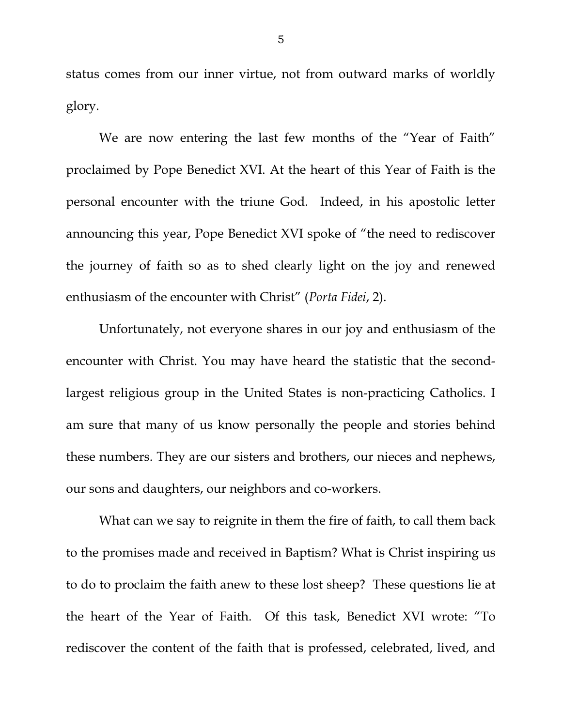status comes from our inner virtue, not from outward marks of worldly glory.

We are now entering the last few months of the "Year of Faith" proclaimed by Pope Benedict XVI. At the heart of this Year of Faith is the personal encounter with the triune God. Indeed, in his apostolic letter announcing this year, Pope Benedict XVI spoke of "the need to rediscover the journey of faith so as to shed clearly light on the joy and renewed enthusiasm of the encounter with Christ" (*Porta Fidei*, 2).

Unfortunately, not everyone shares in our joy and enthusiasm of the encounter with Christ. You may have heard the statistic that the secondlargest religious group in the United States is non-practicing Catholics. I am sure that many of us know personally the people and stories behind these numbers. They are our sisters and brothers, our nieces and nephews, our sons and daughters, our neighbors and co-workers.

What can we say to reignite in them the fire of faith, to call them back to the promises made and received in Baptism? What is Christ inspiring us to do to proclaim the faith anew to these lost sheep? These questions lie at the heart of the Year of Faith. Of this task, Benedict XVI wrote: "To rediscover the content of the faith that is professed, celebrated, lived, and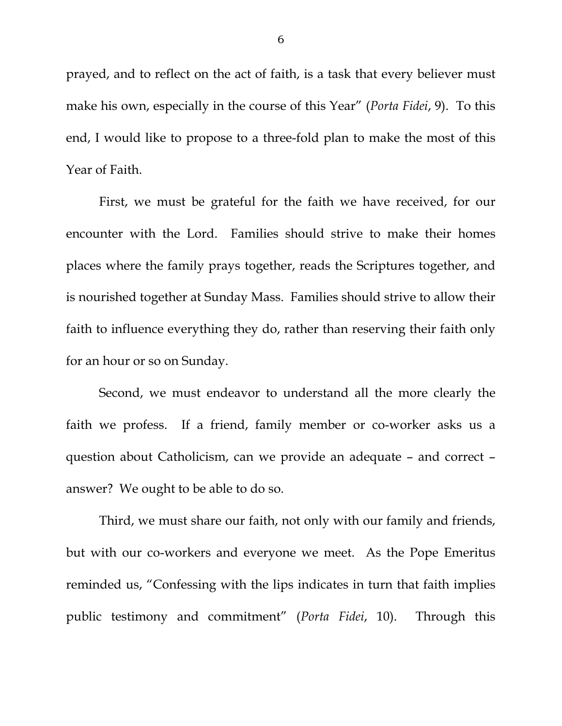prayed, and to reflect on the act of faith, is a task that every believer must make his own, especially in the course of this Year" (*Porta Fidei*, 9). To this end, I would like to propose to a three-fold plan to make the most of this Year of Faith.

 First, we must be grateful for the faith we have received, for our encounter with the Lord. Families should strive to make their homes places where the family prays together, reads the Scriptures together, and is nourished together at Sunday Mass. Families should strive to allow their faith to influence everything they do, rather than reserving their faith only for an hour or so on Sunday.

 Second, we must endeavor to understand all the more clearly the faith we profess. If a friend, family member or co-worker asks us a question about Catholicism, can we provide an adequate – and correct – answer? We ought to be able to do so.

 Third, we must share our faith, not only with our family and friends, but with our co-workers and everyone we meet. As the Pope Emeritus reminded us, "Confessing with the lips indicates in turn that faith implies public testimony and commitment" (*Porta Fidei*, 10). Through this